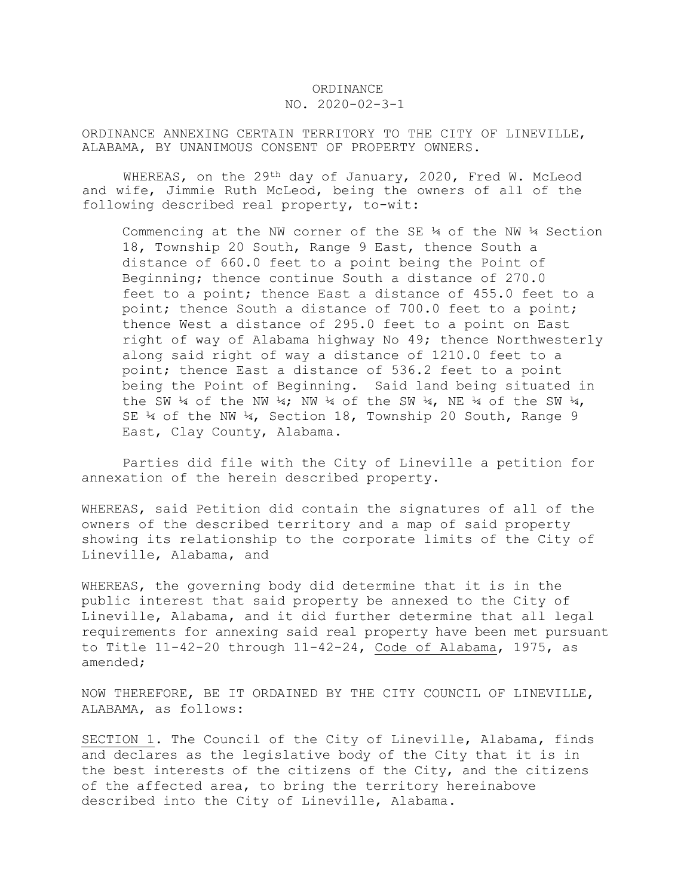## ORDINANCE

## NO. 2020-02-3-1

ORDINANCE ANNEXING CERTAIN TERRITORY TO THE CITY OF LINEVILLE, ALABAMA, BY UNANIMOUS CONSENT OF PROPERTY OWNERS.

WHEREAS, on the 29<sup>th</sup> day of January, 2020, Fred W. McLeod and wife, Jimmie Ruth McLeod, being the owners of all of the following described real property, to-wit:

Commencing at the NW corner of the SE  $\frac{1}{4}$  of the NW  $\frac{1}{4}$  Section 18, Township 20 South, Range 9 East, thence South a distance of 660.0 feet to a point being the Point of Beginning; thence continue South a distance of 270.0 feet to a point; thence East a distance of 455.0 feet to a point; thence South a distance of 700.0 feet to a point; thence West a distance of 295.0 feet to a point on East right of way of Alabama highway No 49; thence Northwesterly along said right of way a distance of 1210.0 feet to a point; thence East a distance of 536.2 feet to a point being the Point of Beginning. Said land being situated in the SW  $\frac{1}{4}$  of the NW  $\frac{1}{4}$ ; NW  $\frac{1}{4}$  of the  $\frac{1}{4}$  of the SW  $\frac{1}{4}$ , SE ¼ of the NW ¼, Section 18, Township 20 South, Range 9 East, Clay County, Alabama.

Parties did file with the City of Lineville a petition for annexation of the herein described property.

WHEREAS, said Petition did contain the signatures of all of the owners of the described territory and a map of said property showing its relationship to the corporate limits of the City of Lineville, Alabama, and

WHEREAS, the governing body did determine that it is in the public interest that said property be annexed to the City of Lineville, Alabama, and it did further determine that all legal requirements for annexing said real property have been met pursuant to Title 11-42-20 through 11-42-24, Code of Alabama, 1975, as amended;

NOW THEREFORE, BE IT ORDAINED BY THE CITY COUNCIL OF LINEVILLE, ALABAMA, as follows:

SECTION 1. The Council of the City of Lineville, Alabama, finds and declares as the legislative body of the City that it is in the best interests of the citizens of the City, and the citizens of the affected area, to bring the territory hereinabove described into the City of Lineville, Alabama.